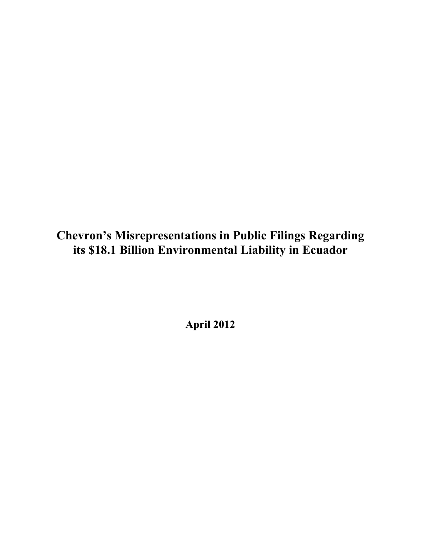**Chevron's Misrepresentations in Public Filings Regarding its \$18.1 Billion Environmental Liability in Ecuador**

**April 2012**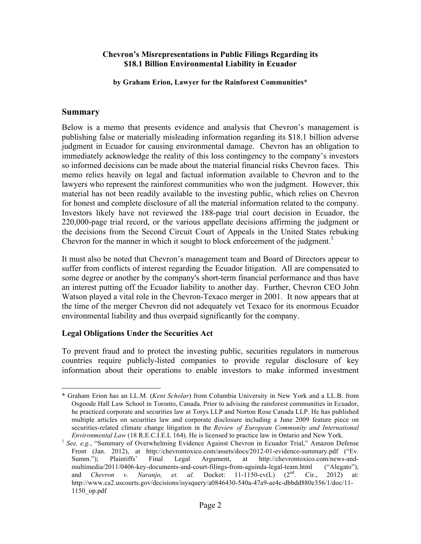#### **Chevron's Misrepresentations in Public Filings Regarding its \$18.1 Billion Environmental Liability in Ecuador**

**by Graham Erion, Lawyer for the Rainforest Communities\***

#### **Summary**

Below is a memo that presents evidence and analysis that Chevron's management is publishing false or materially misleading information regarding its \$18.1 billion adverse judgment in Ecuador for causing environmental damage. Chevron has an obligation to immediately acknowledge the reality of this loss contingency to the company's investors so informed decisions can be made about the material financial risks Chevron faces. This memo relies heavily on legal and factual information available to Chevron and to the lawyers who represent the rainforest communities who won the judgment. However, this material has not been readily available to the investing public, which relies on Chevron for honest and complete disclosure of all the material information related to the company. Investors likely have not reviewed the 188-page trial court decision in Ecuador, the 220,000-page trial record, or the various appellate decisions affirming the judgment or the decisions from the Second Circuit Court of Appeals in the United States rebuking Chevron for the manner in which it sought to block enforcement of the judgment.<sup>1</sup>

It must also be noted that Chevron's management team and Board of Directors appear to suffer from conflicts of interest regarding the Ecuador litigation. All are compensated to some degree or another by the company's short-term financial performance and thus have an interest putting off the Ecuador liability to another day. Further, Chevron CEO John Watson played a vital role in the Chevron-Texaco merger in 2001. It now appears that at the time of the merger Chevron did not adequately vet Texaco for its enormous Ecuador environmental liability and thus overpaid significantly for the company.

#### **Legal Obligations Under the Securities Act**

To prevent fraud and to protect the investing public, securities regulators in numerous countries require publicly-listed companies to provide regular disclosure of key information about their operations to enable investors to make informed investment

 <sup>\*</sup> Graham Erion has an LL.M. (*Kent Scholar*) from Columbia University in New York and a LL.B. from Osgoode Hall Law School in Toronto, Canada. Prior to advising the rainforest communities in Ecuador, he practiced corporate and securities law at Torys LLP and Norton Rose Canada LLP. He has published multiple articles on securities law and corporate disclosure including a June 2009 feature piece on securities-related climate change litigation in the *Review of European Community and International Environmental Law* (18 R.E.C.I.E.L 164). He is licensed to practice law in Ontario and New York.<br><sup>1</sup> *See, e.g.*, "Summary of Overwhelming Evidence Against Chevron in Ecuador Trial," Amazon Defense

Front (Jan. 2012), at http://chevrontoxico.com/assets/docs/2012-01-evidence-summary.pdf ("Ev. Summ."); Plaintiffs' Final Legal Argument, at http://chevrontoxico.com/news-andmultimedia/2011/0406-key-documents-and-court-filings-from-aguinda-legal-team.html ("Alegato"); and *Chevron v. Naranjo, et. al.* Docket:  $11-1150-cv(L)$   $(2<sup>nd</sup>$ . Cir., 2012) at: http://www.ca2.uscourts.gov/decisions/isysquery/a0846430-540a-47a9-ae4c-dbbdd880e356/1/doc/11- 1150\_op.pdf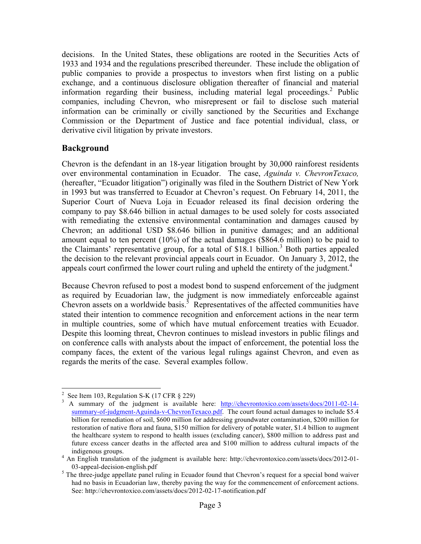decisions. In the United States, these obligations are rooted in the Securities Acts of 1933 and 1934 and the regulations prescribed thereunder. These include the obligation of public companies to provide a prospectus to investors when first listing on a public exchange, and a continuous disclosure obligation thereafter of financial and material information regarding their business, including material legal proceedings. <sup>2</sup> Public companies, including Chevron, who misrepresent or fail to disclose such material information can be criminally or civilly sanctioned by the Securities and Exchange Commission or the Department of Justice and face potential individual, class, or derivative civil litigation by private investors.

## **Background**

Chevron is the defendant in an 18-year litigation brought by 30,000 rainforest residents over environmental contamination in Ecuador. The case, *Aguinda v. ChevronTexaco,*  (hereafter, "Ecuador litigation") originally was filed in the Southern District of New York in 1993 but was transferred to Ecuador at Chevron's request. On February 14, 2011, the Superior Court of Nueva Loja in Ecuador released its final decision ordering the company to pay \$8.646 billion in actual damages to be used solely for costs associated with remediating the extensive environmental contamination and damages caused by Chevron; an additional USD \$8.646 billion in punitive damages; and an additional amount equal to ten percent (10%) of the actual damages (\$864.6 million) to be paid to the Claimants' representative group, for a total of  $$18.1$  billion.<sup>3</sup> Both parties appealed the decision to the relevant provincial appeals court in Ecuador. On January 3, 2012, the appeals court confirmed the lower court ruling and upheld the entirety of the judgment.<sup>4</sup>

Because Chevron refused to post a modest bond to suspend enforcement of the judgment as required by Ecuadorian law, the judgment is now immediately enforceable against Chevron assets on a worldwide basis.<sup>5</sup> Representatives of the affected communities have stated their intention to commence recognition and enforcement actions in the near term in multiple countries, some of which have mutual enforcement treaties with Ecuador. Despite this looming threat, Chevron continues to mislead investors in public filings and on conference calls with analysts about the impact of enforcement, the potential loss the company faces, the extent of the various legal rulings against Chevron, and even as regards the merits of the case. Several examples follow.

 $\frac{1}{2}$ 

<sup>&</sup>lt;sup>2</sup> See Item 103, Regulation S-K (17 CFR § 229)<br><sup>3</sup> A summary of the judgment is available here: http://chevrontoxico.com/assets/docs/2011-02-14summary-of-judgment-Aguinda-v-ChevronTexaco.pdf. The court found actual damages to include \$5.4 billion for remediation of soil, \$600 million for addressing groundwater contamination, \$200 million for restoration of native flora and fauna, \$150 million for delivery of potable water, \$1.4 billion to augment the healthcare system to respond to health issues (excluding cancer), \$800 million to address past and future excess cancer deaths in the affected area and \$100 million to address cultural impacts of the

indigenous groups.<br><sup>4</sup> An English translation of the judgment is available here: http://chevrontoxico.com/assets/docs/2012-01-03-appeal-decision-english.pdf  $\frac{5}{\pi}$  The three-judge appellate panel ruling in Ecuador found that Chevron's request for a special bond waiver

had no basis in Ecuadorian law, thereby paving the way for the commencement of enforcement actions. See: http://chevrontoxico.com/assets/docs/2012-02-17-notification.pdf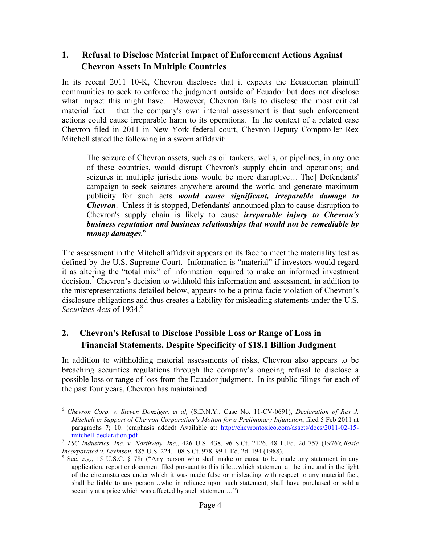## **1. Refusal to Disclose Material Impact of Enforcement Actions Against Chevron Assets In Multiple Countries**

In its recent 2011 10-K, Chevron discloses that it expects the Ecuadorian plaintiff communities to seek to enforce the judgment outside of Ecuador but does not disclose what impact this might have. However, Chevron fails to disclose the most critical material fact – that the company's own internal assessment is that such enforcement actions could cause irreparable harm to its operations. In the context of a related case Chevron filed in 2011 in New York federal court, Chevron Deputy Comptroller Rex Mitchell stated the following in a sworn affidavit:

The seizure of Chevron assets, such as oil tankers, wells, or pipelines, in any one of these countries, would disrupt Chevron's supply chain and operations; and seizures in multiple jurisdictions would be more disruptive…[The] Defendants' campaign to seek seizures anywhere around the world and generate maximum publicity for such acts *would cause significant, irreparable damage to Chevron*. Unless it is stopped, Defendants' announced plan to cause disruption to Chevron's supply chain is likely to cause *irreparable injury to Chevron's business reputation and business relationships that would not be remediable by money damages.* 6

The assessment in the Mitchell affidavit appears on its face to meet the materiality test as defined by the U.S. Supreme Court. Information is "material" if investors would regard it as altering the "total mix" of information required to make an informed investment decision.<sup>7</sup> Chevron's decision to withhold this information and assessment, in addition to the misrepresentations detailed below, appears to be a prima facie violation of Chevron's disclosure obligations and thus creates a liability for misleading statements under the U.S. *Securities Acts* of 1934.<sup>8</sup>

# **2. Chevron's Refusal to Disclose Possible Loss or Range of Loss in Financial Statements, Despite Specificity of \$18.1 Billion Judgment**

In addition to withholding material assessments of risks, Chevron also appears to be breaching securities regulations through the company's ongoing refusal to disclose a possible loss or range of loss from the Ecuador judgment. In its public filings for each of the past four years, Chevron has maintained

 <sup>6</sup> *Chevron Corp. v. Steven Donziger, et al,* (S.D.N.Y., Case No. 11-CV-0691), *Declaration of Rex J. Mitchell in Support of Chevron Corporation's Motion for a Preliminary Injunction*, filed 5 Feb 2011 at paragraphs 7; 10. (emphasis added) Available at: http://chevrontoxico.com/assets/docs/2011-02-15-

mitchell-declaration.pdf<br>
<sup>7</sup> *TSC Industries, Inc. v. Northway, Inc.*, 426 U.S. 438, 96 S.Ct. 2126, 48 L.Ed. 2d 757 (1976); *Basic Incorporated v. Levinson*, 485 U.S. 224, 108 S.Ct. 978, 99 L.Ed. 2d. 194 (1988).

<sup>&</sup>lt;sup>8</sup> See, e.g., 15 U.S.C. § 78r ("Any person who shall make or cause to be made any statement in any application, report or document filed pursuant to this title…which statement at the time and in the light of the circumstances under which it was made false or misleading with respect to any material fact, shall be liable to any person…who in reliance upon such statement, shall have purchased or sold a security at a price which was affected by such statement...")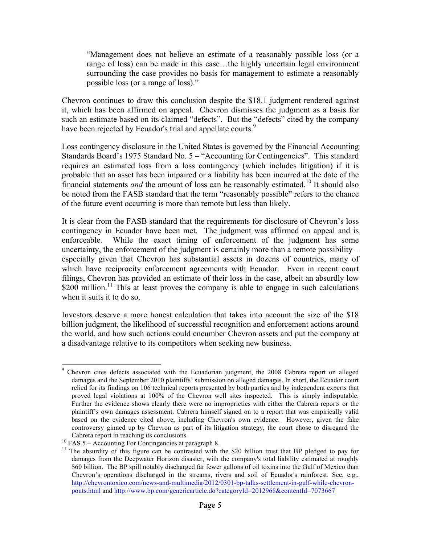"Management does not believe an estimate of a reasonably possible loss (or a range of loss) can be made in this case…the highly uncertain legal environment surrounding the case provides no basis for management to estimate a reasonably possible loss (or a range of loss)."

Chevron continues to draw this conclusion despite the \$18.1 judgment rendered against it, which has been affirmed on appeal. Chevron dismisses the judgment as a basis for such an estimate based on its claimed "defects". But the "defects" cited by the company have been rejected by Ecuador's trial and appellate courts.<sup>9</sup>

Loss contingency disclosure in the United States is governed by the Financial Accounting Standards Board's 1975 Standard No. 5 – "Accounting for Contingencies". This standard requires an estimated loss from a loss contingency (which includes litigation) if it is probable that an asset has been impaired or a liability has been incurred at the date of the financial statements *and* the amount of loss can be reasonably estimated.<sup>10</sup> It should also be noted from the FASB standard that the term "reasonably possible" refers to the chance of the future event occurring is more than remote but less than likely.

It is clear from the FASB standard that the requirements for disclosure of Chevron's loss contingency in Ecuador have been met. The judgment was affirmed on appeal and is enforceable. While the exact timing of enforcement of the judgment has some uncertainty, the enforcement of the judgment is certainly more than a remote possibility – especially given that Chevron has substantial assets in dozens of countries, many of which have reciprocity enforcement agreements with Ecuador. Even in recent court filings, Chevron has provided an estimate of their loss in the case, albeit an absurdly low \$200 million.<sup>11</sup> This at least proves the company is able to engage in such calculations when it suits it to do so.

Investors deserve a more honest calculation that takes into account the size of the \$18 billion judgment, the likelihood of successful recognition and enforcement actions around the world, and how such actions could encumber Chevron assets and put the company at a disadvantage relative to its competitors when seeking new business.

<sup>&</sup>lt;sup>9</sup> Chevron cites defects associated with the Ecuadorian judgment, the 2008 Cabrera report on alleged damages and the September 2010 plaintiffs' submission on alleged damages. In short, the Ecuador court relied for its findings on 106 technical reports presented by both parties and by independent experts that proved legal violations at 100% of the Chevron well sites inspected. This is simply indisputable. Further the evidence shows clearly there were no improprieties with either the Cabrera reports or the plaintiff's own damages assessment. Cabrera himself signed on to a report that was empirically valid based on the evidence cited above, including Chevron's own evidence. However, given the fake controversy ginned up by Chevron as part of its litigation strategy, the court chose to disregard the

Cabrera report in reaching its conclusions.<br><sup>10</sup> FAS 5 – Accounting For Contingencies at paragraph 8.<br><sup>11</sup> The absurdity of this figure can be contrasted with the \$20 billion trust that BP pledged to pay for damages from the Deepwater Horizon disaster, with the company's total liability estimated at roughly \$60 billion. The BP spill notably discharged far fewer gallons of oil toxins into the Gulf of Mexico than Chevron's operations discharged in the streams, rivers and soil of Ecuador's rainforest. See, e.g., http://chevrontoxico.com/news-and-multimedia/2012/0301-bp-talks-settlement-in-gulf-while-chevronpouts.html and http://www.bp.com/genericarticle.do?categoryId=2012968&contentId=7073667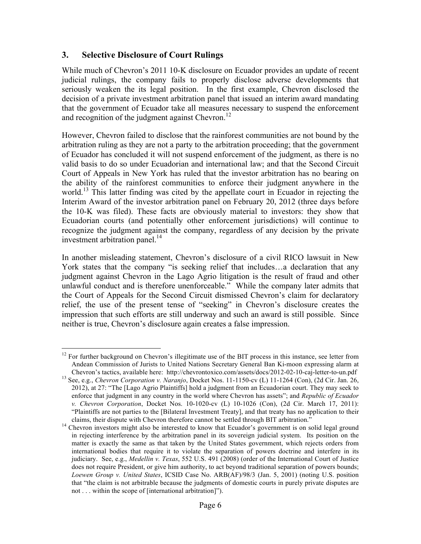## **3. Selective Disclosure of Court Rulings**

While much of Chevron's 2011 10-K disclosure on Ecuador provides an update of recent judicial rulings, the company fails to properly disclose adverse developments that seriously weaken the its legal position. In the first example, Chevron disclosed the decision of a private investment arbitration panel that issued an interim award mandating that the government of Ecuador take all measures necessary to suspend the enforcement and recognition of the judgment against Chevron.<sup>12</sup>

However, Chevron failed to disclose that the rainforest communities are not bound by the arbitration ruling as they are not a party to the arbitration proceeding; that the government of Ecuador has concluded it will not suspend enforcement of the judgment, as there is no valid basis to do so under Ecuadorian and international law; and that the Second Circuit Court of Appeals in New York has ruled that the investor arbitration has no bearing on the ability of the rainforest communities to enforce their judgment anywhere in the world.<sup>13</sup> This latter finding was cited by the appellate court in Ecuador in rejecting the Interim Award of the investor arbitration panel on February 20, 2012 (three days before the 10-K was filed). These facts are obviously material to investors: they show that Ecuadorian courts (and potentially other enforcement jurisdictions) will continue to recognize the judgment against the company, regardless of any decision by the private investment arbitration panel. $^{14}$ 

In another misleading statement, Chevron's disclosure of a civil RICO lawsuit in New York states that the company "is seeking relief that includes…a declaration that any judgment against Chevron in the Lago Agrio litigation is the result of fraud and other unlawful conduct and is therefore unenforceable." While the company later admits that the Court of Appeals for the Second Circuit dismissed Chevron's claim for declaratory relief, the use of the present tense of "seeking" in Chevron's disclosure creates the impression that such efforts are still underway and such an award is still possible. Since neither is true, Chevron's disclosure again creates a false impression.

<sup>&</sup>lt;sup>12</sup> For further background on Chevron's illegitimate use of the BIT process in this instance, see letter from Andean Commission of Jurists to United Nations Secretary General Ban Ki-moon expressing alarm at

Chevron's tactics, available here: http://chevrontoxico.com/assets/docs/2012-02-10-caj-letter-to-un.pdf <sup>13</sup> See, e.g., *Chevron Corporation v. Naranjo*, Docket Nos. 11-1150-cv (L) 11-1264 (Con), (2d Cir. Jan. 26, 2012), at 27: "The [Lago Agrio Plaintiffs] hold a judgment from an Ecuadorian court. They may seek to enforce that judgment in any country in the world where Chevron has assets"; and *Republic of Ecuador v. Chevron Corporation*, Docket Nos. 10-1020-cv (L) 10-1026 (Con), (2d Cir. March 17, 2011): "Plaintiffs are not parties to the [Bilateral Investment Treaty], and that treaty has no application to their

claims, their dispute with Chevron therefore cannot be settled through BIT arbitration." <sup>14</sup> Chevron investors might also be interested to know that Ecuador's government is on solid legal ground in rejecting interference by the arbitration panel in its sovereign judicial system. Its position on the matter is exactly the same as that taken by the United States government, which rejects orders from international bodies that require it to violate the separation of powers doctrine and interfere in its judiciary. See, e.g., *Medellin v. Texas*, 552 U.S. 491 (2008) (order of the International Court of Justice does not require President, or give him authority, to act beyond traditional separation of powers bounds; *Loewen Group v. United States*, ICSID Case No. ARB(AF)/98/3 (Jan. 5, 2001) (noting U.S. position that "the claim is not arbitrable because the judgments of domestic courts in purely private disputes are not . . . within the scope of [international arbitration]").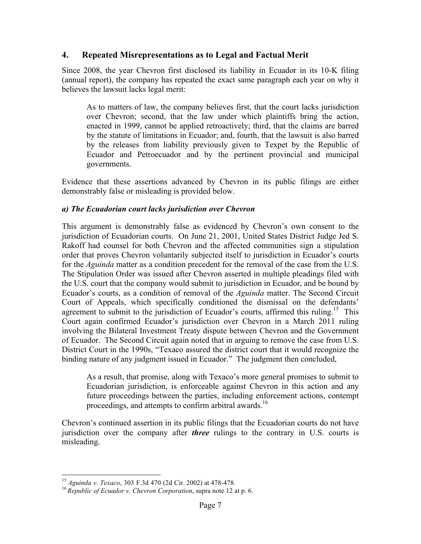## **4. Repeated Misrepresentations as to Legal and Factual Merit**

Since 2008, the year Chevron first disclosed its liability in Ecuador in its 10-K filing (annual report), the company has repeated the exact same paragraph each year on why it believes the lawsuit lacks legal merit:

As to matters of law, the company believes first, that the court lacks jurisdiction over Chevron; second, that the law under which plaintiffs bring the action, enacted in 1999, cannot be applied retroactively; third, that the claims are barred by the statute of limitations in Ecuador; and, fourth, that the lawsuit is also barred by the releases from liability previously given to Texpet by the Republic of Ecuador and Petroecuador and by the pertinent provincial and municipal governments.

Evidence that these assertions advanced by Chevron in its public filings are either demonstrably false or misleading is provided below.

#### *a) The Ecuadorian court lacks jurisdiction over Chevron*

This argument is demonstrably false as evidenced by Chevron's own consent to the jurisdiction of Ecuadorian courts. On June 21, 2001, United States District Judge Jed S. Rakoff had counsel for both Chevron and the affected communities sign a stipulation order that proves Chevron voluntarily subjected itself to jurisdiction in Ecuador's courts for the *Aguinda* matter as a condition precedent for the removal of the case from the U.S. The Stipulation Order was issued after Chevron asserted in multiple pleadings filed with the U.S. court that the company would submit to jurisdiction in Ecuador, and be bound by Ecuador's courts, as a condition of removal of the *Aguinda* matter. The Second Circuit Court of Appeals, which specifically conditioned the dismissal on the defendants' agreement to submit to the jurisdiction of Ecuador's courts, affirmed this ruling.<sup>15</sup> This Court again confirmed Ecuador's jurisdiction over Chevron in a March 2011 ruling involving the Bilateral Investment Treaty dispute between Chevron and the Government of Ecuador. The Second Circuit again noted that in arguing to remove the case from U.S. District Court in the 1990s, "Texaco assured the district court that it would recognize the binding nature of any judgment issued in Ecuador." The judgment then concluded,

As a result, that promise, along with Texaco's more general promises to submit to Ecuadorian jurisdiction, is enforceable against Chevron in this action and any future proceedings between the parties, including enforcement actions, contempt proceedings, and attempts to confirm arbitral awards.<sup>16</sup>

Chevron's continued assertion in its public filings that the Ecuadorian courts do not have jurisdiction over the company after *three* rulings to the contrary in U.S. courts is misleading.

<sup>15</sup> *Aguinda v. Texaco*, <sup>303</sup> F.3d <sup>470</sup> (2d Cir. 2002) at 478-478. <sup>16</sup> *Republic of Ecuador v. Chevron Corporation*, supra note 12 at p. 6.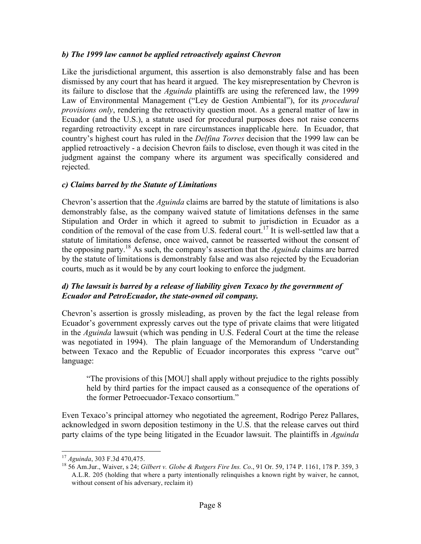#### *b) The 1999 law cannot be applied retroactively against Chevron*

Like the jurisdictional argument, this assertion is also demonstrably false and has been dismissed by any court that has heard it argued. The key misrepresentation by Chevron is its failure to disclose that the *Aguinda* plaintiffs are using the referenced law, the 1999 Law of Environmental Management ("Ley de Gestion Ambiental"), for its *procedural provisions only*, rendering the retroactivity question moot. As a general matter of law in Ecuador (and the U.S.), a statute used for procedural purposes does not raise concerns regarding retroactivity except in rare circumstances inapplicable here. In Ecuador, that country's highest court has ruled in the *Delfina Torres* decision that the 1999 law can be applied retroactively - a decision Chevron fails to disclose, even though it was cited in the judgment against the company where its argument was specifically considered and rejected.

## *c) Claims barred by the Statute of Limitations*

Chevron's assertion that the *Aguinda* claims are barred by the statute of limitations is also demonstrably false, as the company waived statute of limitations defenses in the same Stipulation and Order in which it agreed to submit to jurisdiction in Ecuador as a condition of the removal of the case from U.S. federal court.<sup>17</sup> It is well-settled law that a statute of limitations defense, once waived, cannot be reasserted without the consent of the opposing party.<sup>18</sup> As such, the company's assertion that the *Aguinda* claims are barred by the statute of limitations is demonstrably false and was also rejected by the Ecuadorian courts, much as it would be by any court looking to enforce the judgment.

## *d) The lawsuit is barred by a release of liability given Texaco by the government of Ecuador and PetroEcuador, the state-owned oil company.*

Chevron's assertion is grossly misleading, as proven by the fact the legal release from Ecuador's government expressly carves out the type of private claims that were litigated in the *Aguinda* lawsuit (which was pending in U.S. Federal Court at the time the release was negotiated in 1994). The plain language of the Memorandum of Understanding between Texaco and the Republic of Ecuador incorporates this express "carve out" language:

"The provisions of this [MOU] shall apply without prejudice to the rights possibly held by third parties for the impact caused as a consequence of the operations of the former Petroecuador-Texaco consortium."

Even Texaco's principal attorney who negotiated the agreement, Rodrigo Perez Pallares, acknowledged in sworn deposition testimony in the U.S. that the release carves out third party claims of the type being litigated in the Ecuador lawsuit. The plaintiffs in *Aguinda* 

<sup>&</sup>lt;sup>17</sup> *Aguinda*, 303 F.3d 470,475.<br><sup>18</sup> 56 Am.Jur., Waiver, s 24; *Gilbert v. Globe & Rutgers Fire Ins. Co.*, 91 Or. 59, 174 P. 1161, 178 P. 359, 3 A.L.R. 205 (holding that where a party intentionally relinquishes a known right by waiver, he cannot, without consent of his adversary, reclaim it)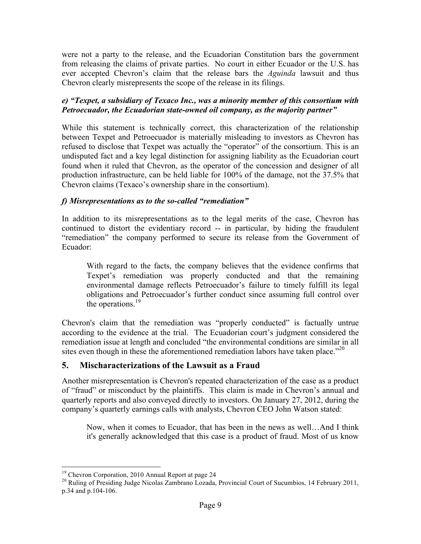were not a party to the release, and the Ecuadorian Constitution bars the government from releasing the claims of private parties. No court in either Ecuador or the U.S. has ever accepted Chevron's claim that the release bars the *Aguinda* lawsuit and thus Chevron clearly misrepresents the scope of the release in its filings.

## *e) "Texpet, a subsidiary of Texaco Inc., was a minority member of this consortium with Petroecuador, the Ecuadorian state-owned oil company, as the majority partner"*

While this statement is technically correct, this characterization of the relationship between Texpet and Petroecuador is materially misleading to investors as Chevron has refused to disclose that Texpet was actually the "operator" of the consortium. This is an undisputed fact and a key legal distinction for assigning liability as the Ecuadorian court found when it ruled that Chevron, as the operator of the concession and designer of all production infrastructure, can be held liable for 100% of the damage, not the 37.5% that Chevron claims (Texaco's ownership share in the consortium).

## *f) Misrepresentations as to the so-called "remediation"*

In addition to its misrepresentations as to the legal merits of the case, Chevron has continued to distort the evidentiary record -- in particular, by hiding the fraudulent "remediation" the company performed to secure its release from the Government of Ecuador:

With regard to the facts, the company believes that the evidence confirms that Texpet's remediation was properly conducted and that the remaining environmental damage reflects Petroecuador's failure to timely fulfill its legal obligations and Petroecuador's further conduct since assuming full control over the operations.<sup>19</sup>

Chevron's claim that the remediation was "properly conducted" is factually untrue according to the evidence at the trial. The Ecuadorian court's judgment considered the remediation issue at length and concluded "the environmental conditions are similar in all sites even though in these the aforementioned remediation labors have taken place. $2^{20}$ 

## **5. Mischaracterizations of the Lawsuit as a Fraud**

Another misrepresentation is Chevron's repeated characterization of the case as a product of "fraud" or misconduct by the plaintiffs. This claim is made in Chevron's annual and quarterly reports and also conveyed directly to investors. On January 27, 2012, during the company's quarterly earnings calls with analysts, Chevron CEO John Watson stated:

Now, when it comes to Ecuador, that has been in the news as well…And I think it's generally acknowledged that this case is a product of fraud. Most of us know

<sup>&</sup>lt;sup>19</sup> Chevron Corporation, 2010 Annual Report at page 24<br><sup>20</sup> Ruling of Presiding Judge Nicolas Zambrano Lozada, Provincial Court of Sucumbios, 14 February 2011, p.34 and p.104-106.